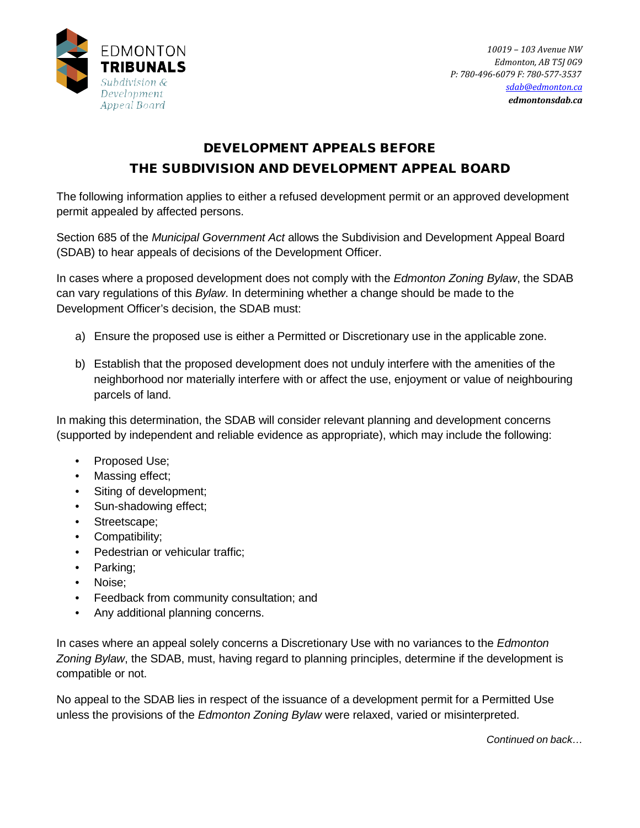

*10019 – 103 Avenue NW Edmonton, AB T5J 0G9 P: 780-496-6079 F: 780-577-3537 [sdab@edmonton.ca](mailto:sdab@edmonton.ca) edmontonsdab.ca*

## DEVELOPMENT APPEALS BEFORE THE SUBDIVISION AND DEVELOPMENT APPEAL BOARD

The following information applies to either a refused development permit or an approved development permit appealed by affected persons.

Section 685 of the *Municipal Government Act* allows the Subdivision and Development Appeal Board (SDAB) to hear appeals of decisions of the Development Officer.

In cases where a proposed development does not comply with the *Edmonton Zoning Bylaw*, the SDAB can vary regulations of this *Bylaw*. In determining whether a change should be made to the Development Officer's decision, the SDAB must:

- a) Ensure the proposed use is either a Permitted or Discretionary use in the applicable zone.
- b) Establish that the proposed development does not unduly interfere with the amenities of the neighborhood nor materially interfere with or affect the use, enjoyment or value of neighbouring parcels of land.

In making this determination, the SDAB will consider relevant planning and development concerns (supported by independent and reliable evidence as appropriate), which may include the following:

- Proposed Use;
- Massing effect;
- Siting of development;
- Sun-shadowing effect;
- Streetscape;
- Compatibility;
- Pedestrian or vehicular traffic;
- Parking;
- Noise;
- Feedback from community consultation; and
- Any additional planning concerns.

In cases where an appeal solely concerns a Discretionary Use with no variances to the *Edmonton Zoning Bylaw*, the SDAB, must, having regard to planning principles, determine if the development is compatible or not.

No appeal to the SDAB lies in respect of the issuance of a development permit for a Permitted Use unless the provisions of the *Edmonton Zoning Bylaw* were relaxed, varied or misinterpreted.

*Continued on back…*